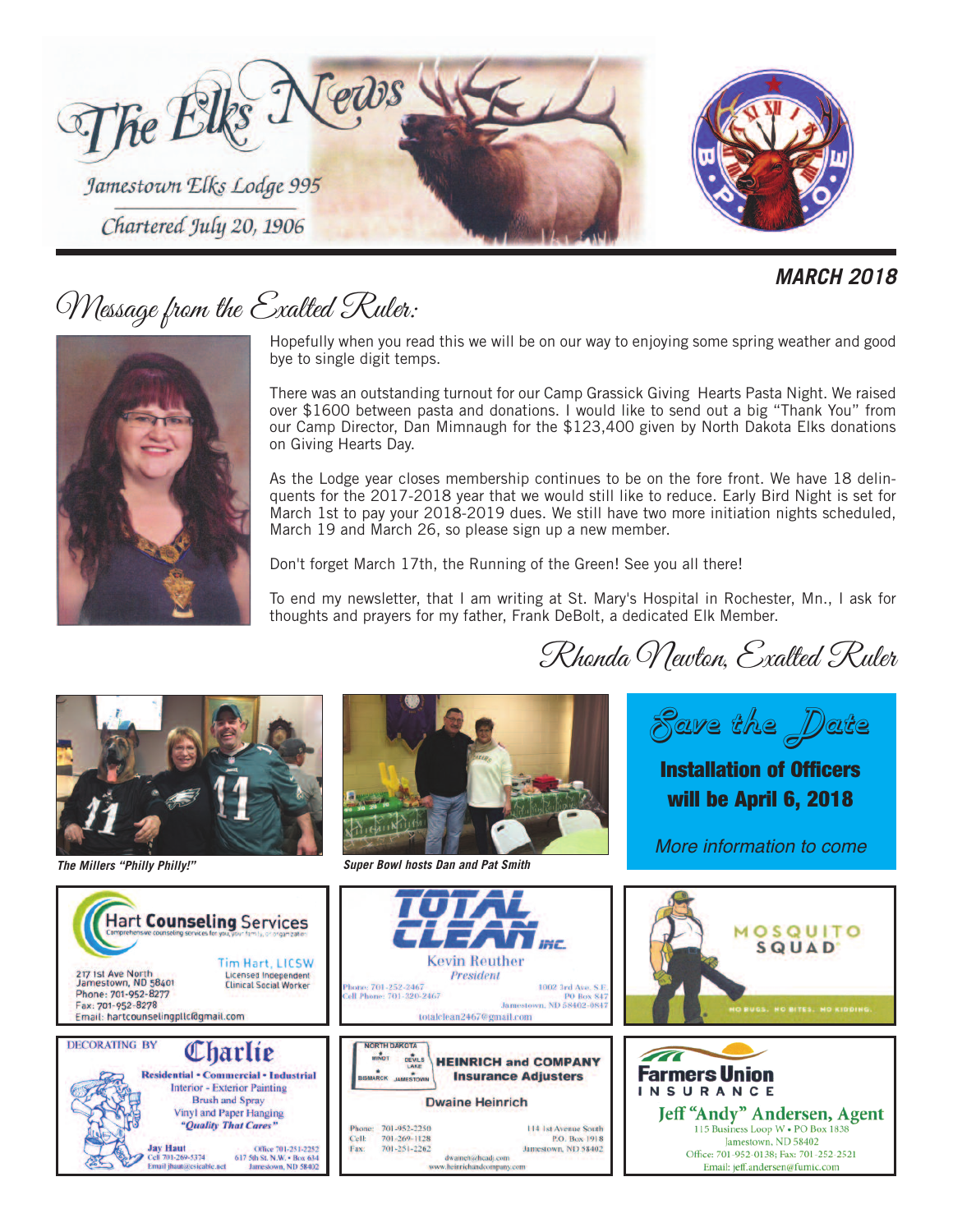

#### *MARCH 2018*

# Message from the Exalted Ruler:

Hopefully when you read this we will be on our way to enjoying some spring weather and good bye to single digit temps.

There was an outstanding turnout for our Camp Grassick Giving Hearts Pasta Night. We raised over \$1600 between pasta and donations. I would like to send out a big "Thank You" from our Camp Director, Dan Mimnaugh for the \$123,400 given by North Dakota Elks donations on Giving Hearts Day.

As the Lodge year closes membership continues to be on the fore front. We have 18 delinquents for the 2017-2018 year that we would still like to reduce. Early Bird Night is set for March 1st to pay your 2018-2019 dues. We still have two more initiation nights scheduled, March 19 and March 26, so please sign up a new member.

Don't forget March 17th, the Running of the Green! See you all there!

To end my newsletter, that I am writing at St. Mary's Hospital in Rochester, Mn., I ask for thoughts and prayers for my father, Frank DeBolt, a dedicated Elk Member.





*The Millers "Philly Philly!" Super Bowl hosts Dan and Pat Smith*

*Save the Date*

Rhonda Newton, Exalted Ruler

Installation of Officers will be April 6, 2018

*More information to come*

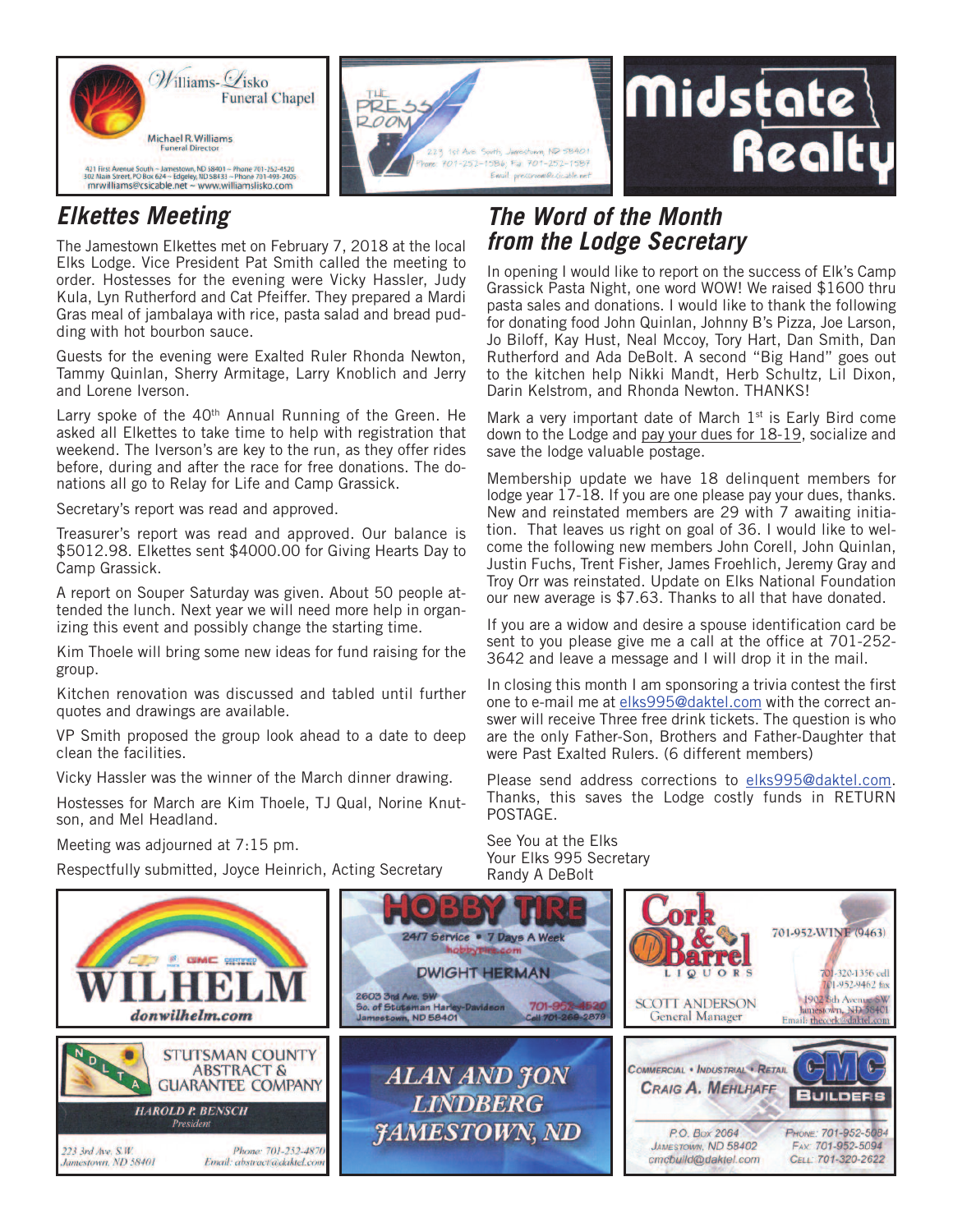



## *Elkettes Meeting*

The Jamestown Elkettes met on February 7, 2018 at the local Elks Lodge. Vice President Pat Smith called the meeting to order. Hostesses for the evening were Vicky Hassler, Judy Kula, Lyn Rutherford and Cat Pfeiffer. They prepared a Mardi Gras meal of jambalaya with rice, pasta salad and bread pudding with hot bourbon sauce.

Guests for the evening were Exalted Ruler Rhonda Newton, Tammy Quinlan, Sherry Armitage, Larry Knoblich and Jerry and Lorene Iverson.

Larry spoke of the 40<sup>th</sup> Annual Running of the Green. He asked all Elkettes to take time to help with registration that weekend. The Iverson's are key to the run, as they offer rides before, during and after the race for free donations. The donations all go to Relay for Life and Camp Grassick.

Secretary's report was read and approved.

Treasurer's report was read and approved. Our balance is \$5012.98. Elkettes sent \$4000.00 for Giving Hearts Day to Camp Grassick.

A report on Souper Saturday was given. About 50 people attended the lunch. Next year we will need more help in organizing this event and possibly change the starting time.

Kim Thoele will bring some new ideas for fund raising for the group.

Kitchen renovation was discussed and tabled until further quotes and drawings are available.

VP Smith proposed the group look ahead to a date to deep clean the facilities.

Vicky Hassler was the winner of the March dinner drawing.

Hostesses for March are Kim Thoele, TJ Qual, Norine Knutson, and Mel Headland.

Meeting was adjourned at 7:15 pm.

Respectfully submitted, Joyce Heinrich, Acting Secretary

#### *The Word of the Month from the Lodge Secretary*

In opening I would like to report on the success of Elk's Camp Grassick Pasta Night, one word WOW! We raised \$1600 thru pasta sales and donations. I would like to thank the following for donating food John Quinlan, Johnny B's Pizza, Joe Larson, Jo Biloff, Kay Hust, Neal Mccoy, Tory Hart, Dan Smith, Dan Rutherford and Ada DeBolt. A second "Big Hand" goes out to the kitchen help Nikki Mandt, Herb Schultz, Lil Dixon, Darin Kelstrom, and Rhonda Newton. THANKS!

Realty

Mark a very important date of March  $1<sup>st</sup>$  is Early Bird come down to the Lodge and pay your dues for 18-19, socialize and save the lodge valuable postage.

Membership update we have 18 delinquent members for lodge year 17-18. If you are one please pay your dues, thanks. New and reinstated members are 29 with 7 awaiting initiation. That leaves us right on goal of 36. I would like to welcome the following new members John Corell, John Quinlan, Justin Fuchs, Trent Fisher, James Froehlich, Jeremy Gray and Troy Orr was reinstated. Update on Elks National Foundation our new average is \$7.63. Thanks to all that have donated.

If you are a widow and desire a spouse identification card be sent to you please give me a call at the office at 701-252- 3642 and leave a message and I will drop it in the mail.

In closing this month I am sponsoring a trivia contest the first one to e-mail me at elks995@daktel.com with the correct answer will receive Three free drink tickets. The question is who are the only Father-Son, Brothers and Father-Daughter that were Past Exalted Rulers. (6 different members)

Please send address corrections to elks995@daktel.com. Thanks, this saves the Lodge costly funds in RETURN POSTAGE.

See You at the Elks Your Elks 995 Secretary Randy A DeBolt

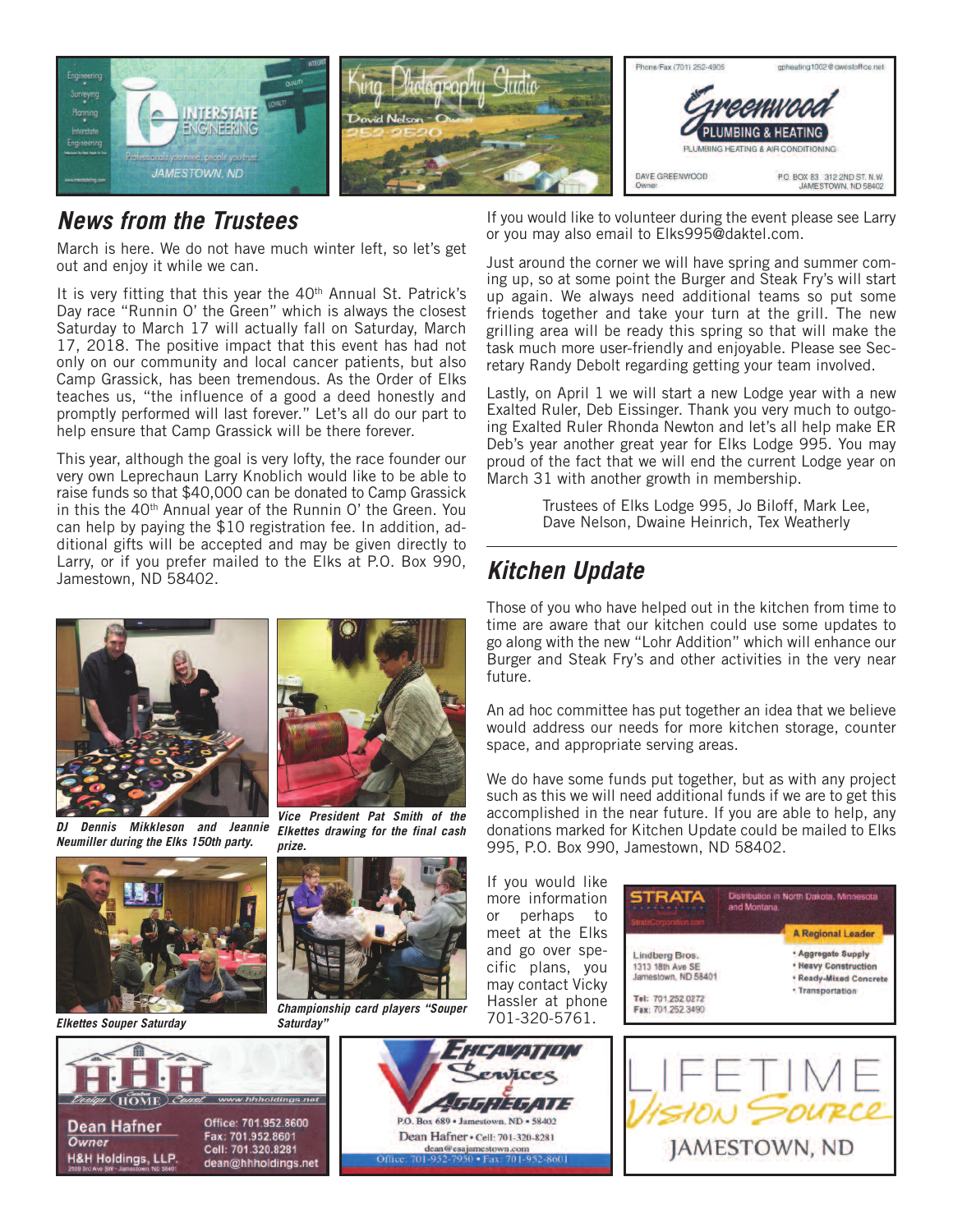

#### *News from the Trustees*

March is here. We do not have much winter left, so let's get out and enjoy it while we can.

It is very fitting that this year the 40<sup>th</sup> Annual St. Patrick's Day race "Runnin O' the Green" which is always the closest Saturday to March 17 will actually fall on Saturday, March 17, 2018. The positive impact that this event has had not only on our community and local cancer patients, but also Camp Grassick, has been tremendous. As the Order of Elks teaches us, "the influence of a good a deed honestly and promptly performed will last forever." Let's all do our part to help ensure that Camp Grassick will be there forever.

This year, although the goal is very lofty, the race founder our very own Leprechaun Larry Knoblich would like to be able to raise funds so that \$40,000 can be donated to Camp Grassick in this the 40th Annual year of the Runnin O' the Green. You can help by paying the \$10 registration fee. In addition, additional gifts will be accepted and may be given directly to Larry, or if you prefer mailed to the Elks at P.O. Box 990, Jamestown, ND 58402.





*Elkettes drawing for the final cash*

*DJ Dennis Mikkleson and Jeannie Neumiller during the Elks 150th party.*



*Elkettes Souper Saturday*



#### *Championship card players "Souper Saturday"*

vices GGUZGALIZ P.O. Box 689 · Jamestown, ND · 58402 Dean Hafner · Cell: 701-320-8281 dean@esajamestown.com<br>701-952-7950 • Fax: 701-952-8601

If you would like to volunteer during the event please see Larry or you may also email to Elks995@daktel.com.

Just around the corner we will have spring and summer coming up, so at some point the Burger and Steak Fry's will start up again. We always need additional teams so put some friends together and take your turn at the grill. The new grilling area will be ready this spring so that will make the task much more user-friendly and enjoyable. Please see Secretary Randy Debolt regarding getting your team involved.

Lastly, on April 1 we will start a new Lodge year with a new Exalted Ruler, Deb Eissinger. Thank you very much to outgoing Exalted Ruler Rhonda Newton and let's all help make ER Deb's year another great year for Elks Lodge 995. You may proud of the fact that we will end the current Lodge year on March 31 with another growth in membership.

> Trustees of Elks Lodge 995, Jo Biloff, Mark Lee, Dave Nelson, Dwaine Heinrich, Tex Weatherly

### *Kitchen Update*

Those of you who have helped out in the kitchen from time to time are aware that our kitchen could use some updates to go along with the new "Lohr Addition" which will enhance our Burger and Steak Fry's and other activities in the very near future.

An ad hoc committee has put together an idea that we believe would address our needs for more kitchen storage, counter space, and appropriate serving areas.

We do have some funds put together, but as with any project such as this we will need additional funds if we are to get this accomplished in the near future. If you are able to help, any donations marked for Kitchen Update could be mailed to Elks 995, P.O. Box 990, Jamestown, ND 58402.

If you would like more information or perhaps to meet at the Elks and go over specific plans, you may contact Vicky Hassler at phone 701-320-5761.